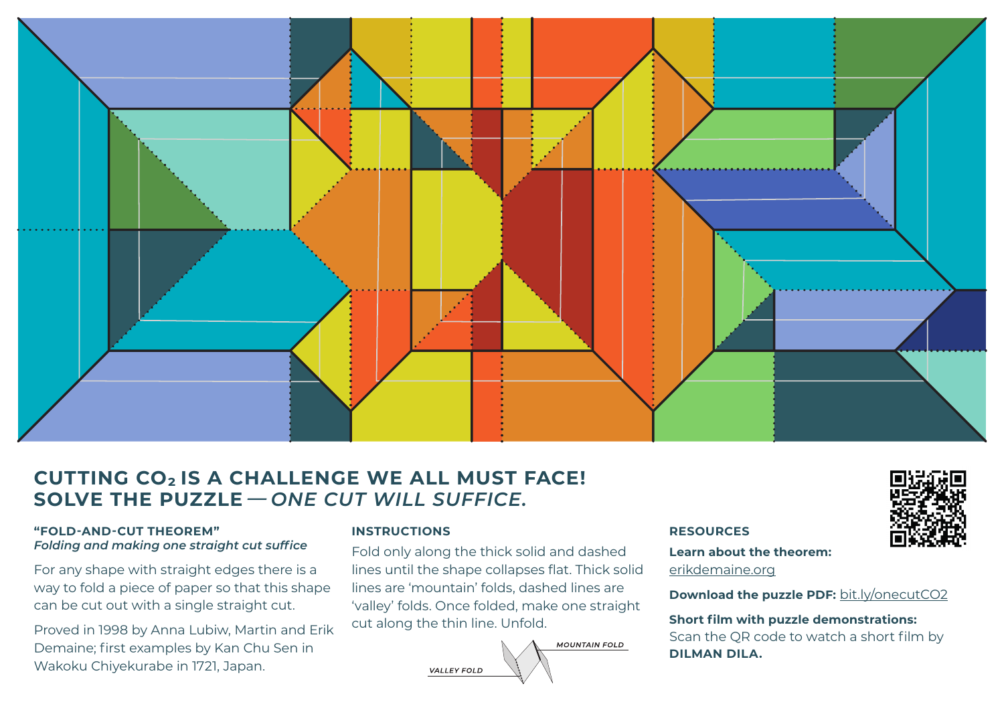

## **CUTTING CO2 IS A CHALLENGE WE ALL MUST FACE! SOLVE THE PUZZLE***— ONE CUT WILL SUFFICE.*

### **"FOLD-AND-CUT THEOREM"** *Folding and making one straight cut suffice*

For any shape with straight edges there is a way to fold a piece of paper so that this shape can be cut out with a single straight cut.

Proved in 1998 by Anna Lubiw, Martin and Erik Demaine; first examples by Kan Chu Sen in Wakoku Chiyekurabe in 1721, Japan.

### **INSTRUCTIONS**

Fold only along the thick solid and dashed lines until the shape collapses flat. Thick solid lines are 'mountain' folds, dashed lines are 'valley' folds. Once folded, make one straight cut along the thin line. Unfold.



#### **RESOURCES**

**Learn about the theorem:** [erikdemaine.org](http://erikdemaine.org)

**Download the puzzle PDF:** [bit.ly/onecutCO2](http://bit.ly/onecutCO2)

#### **Short film with puzzle demonstrations:**

Scan the QR code to watch a short film by **DILMAN DILA.**